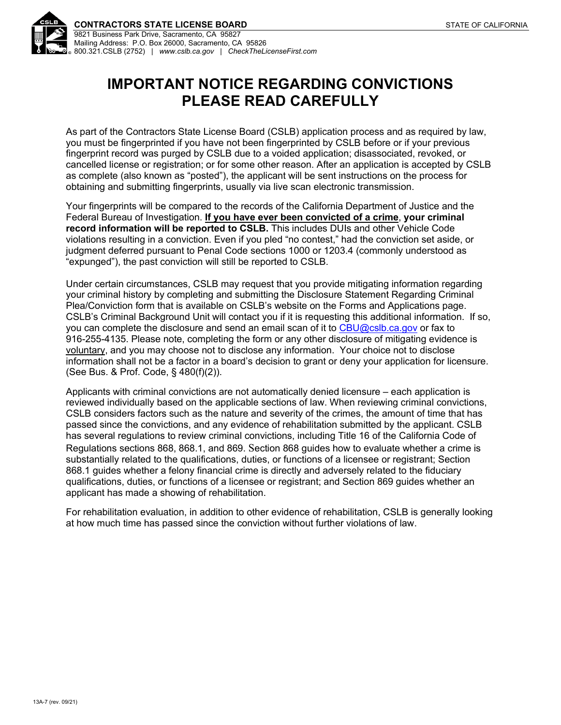

# **IMPORTANT NOTICE REGARDING CONVICTIONS PLEASE READ CAREFULLY**

As part of the Contractors State License Board (CSLB) application process and as required by law, you must be fingerprinted if you have not been fingerprinted by CSLB before or if your previous fingerprint record was purged by CSLB due to a voided application; disassociated, revoked, or cancelled license or registration; or for some other reason. After an application is accepted by CSLB as complete (also known as "posted"), the applicant will be sent instructions on the process for obtaining and submitting fingerprints, usually via live scan electronic transmission.

Your fingerprints will be compared to the records of the California Department of Justice and the Federal Bureau of Investigation. **If you have ever been convicted of a crime**, **your criminal record information will be reported to CSLB.** This includes DUIs and other Vehicle Code violations resulting in a conviction. Even if you pled "no contest," had the conviction set aside, or judgment deferred pursuant to Penal Code sections 1000 or 1203.4 (commonly understood as "expunged"), the past conviction will still be reported to CSLB.

Under certain circumstances, CSLB may request that you provide mitigating information regarding your criminal history by completing and submitting the Disclosure Statement Regarding Criminal Plea/Conviction form that is available on CSLB's website on the Forms and Applications page. CSLB's Criminal Background Unit will contact you if it is requesting this additional information. If so, you can complete the disclosure and send an email scan of it to [CBU@cslb.ca.gov](mailto:CBU@cslb.ca.gov) or fax to 916-255-4135. Please note, completing the form or any other disclosure of mitigating evidence is voluntary, and you may choose not to disclose any information. Your choice not to disclose information shall not be a factor in a board's decision to grant or deny your application for licensure. (See Bus. & Prof. Code, § 480(f)(2)).

Applicants with criminal convictions are not automatically denied licensure – each application is reviewed individually based on the applicable sections of law. When reviewing criminal convictions, CSLB considers factors such as the nature and severity of the crimes, the amount of time that has passed since the convictions, and any evidence of rehabilitation submitted by the applicant. CSLB has several regulations to review criminal convictions, including Title 16 of the California Code of Regulations sections 868, 868.1, and 869. Section 868 guides how to evaluate whether a crime is substantially related to the qualifications, duties, or functions of a licensee or registrant; Section 868.1 guides whether a felony financial crime is directly and adversely related to the fiduciary qualifications, duties, or functions of a licensee or registrant; and Section 869 guides whether an applicant has made a showing of rehabilitation.

For rehabilitation evaluation, in addition to other evidence of rehabilitation, CSLB is generally looking at how much time has passed since the conviction without further violations of law.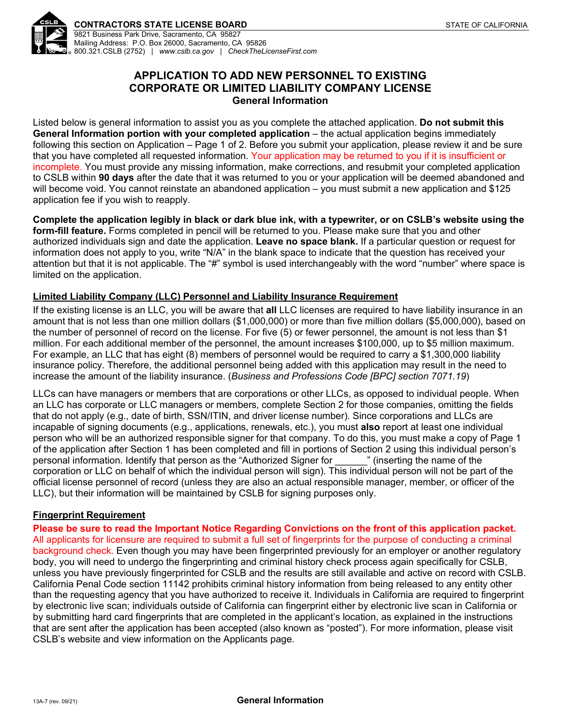

## **APPLICATION TO ADD NEW PERSONNEL TO EXISTING CORPORATE OR LIMITED LIABILITY COMPANY LICENSE General Information**

Listed below is general information to assist you as you complete the attached application. **Do not submit this General Information portion with your completed application** – the actual application begins immediately following this section on Application – Page 1 of 2. Before you submit your application, please review it and be sure that you have completed all requested information. Your application may be returned to you if it is insufficient or incomplete. You must provide any missing information, make corrections, and resubmit your completed application to CSLB within **90 days** after the date that it was returned to you or your application will be deemed abandoned and will become void. You cannot reinstate an abandoned application – you must submit a new application and \$125 application fee if you wish to reapply.

**Complete the application legibly in black or dark blue ink, with a typewriter, or on CSLB's website using the form-fill feature.** Forms completed in pencil will be returned to you. Please make sure that you and other authorized individuals sign and date the application. **Leave no space blank.** If a particular question or request for information does not apply to you, write "N/A" in the blank space to indicate that the question has received your attention but that it is not applicable. The "#" symbol is used interchangeably with the word "number" where space is limited on the application.

### **Limited Liability Company (LLC) Personnel and Liability Insurance Requirement**

If the existing license is an LLC, you will be aware that **all** LLC licenses are required to have liability insurance in an amount that is not less than one million dollars (\$1,000,000) or more than five million dollars (\$5,000,000), based on the number of personnel of record on the license. For five (5) or fewer personnel, the amount is not less than \$1 million. For each additional member of the personnel, the amount increases \$100,000, up to \$5 million maximum. For example, an LLC that has eight (8) members of personnel would be required to carry a \$1,300,000 liability insurance policy. Therefore, the additional personnel being added with this application may result in the need to increase the amount of the liability insurance. (*Business and Professions Code [BPC] section 7071.19*)

LLCs can have managers or members that are corporations or other LLCs, as opposed to individual people. When an LLC has corporate or LLC managers or members, complete Section 2 for those companies, omitting the fields that do not apply (e.g., date of birth, SSN/ITIN, and driver license number). Since corporations and LLCs are incapable of signing documents (e.g., applications, renewals, etc.), you must **also** report at least one individual person who will be an authorized responsible signer for that company. To do this, you must make a copy of Page 1 of the application after Section 1 has been completed and fill in portions of Section 2 using this individual person's personal information. Identify that person as the "Authorized Signer for \_\_\_\_\_\_" (inserting the name of the corporation or LLC on behalf of which the individual person will sign). This individual person will not be part of the official license personnel of record (unless they are also an actual responsible manager, member, or officer of the LLC), but their information will be maintained by CSLB for signing purposes only.

### **Fingerprint Requirement**

**Please be sure to read the Important Notice Regarding Convictions on the front of this application packet.** All applicants for licensure are required to submit a full set of fingerprints for the purpose of conducting a criminal background check. Even though you may have been fingerprinted previously for an employer or another regulatory body, you will need to undergo the fingerprinting and criminal history check process again specifically for CSLB, unless you have previously fingerprinted for CSLB and the results are still available and active on record with CSLB. California Penal Code section 11142 prohibits criminal history information from being released to any entity other than the requesting agency that you have authorized to receive it. Individuals in California are required to fingerprint by electronic live scan; individuals outside of California can fingerprint either by electronic live scan in California or by submitting hard card fingerprints that are completed in the applicant's location, as explained in the instructions that are sent after the application has been accepted (also known as "posted"). For more information, please visit CSLB's website and view information on the Applicants page.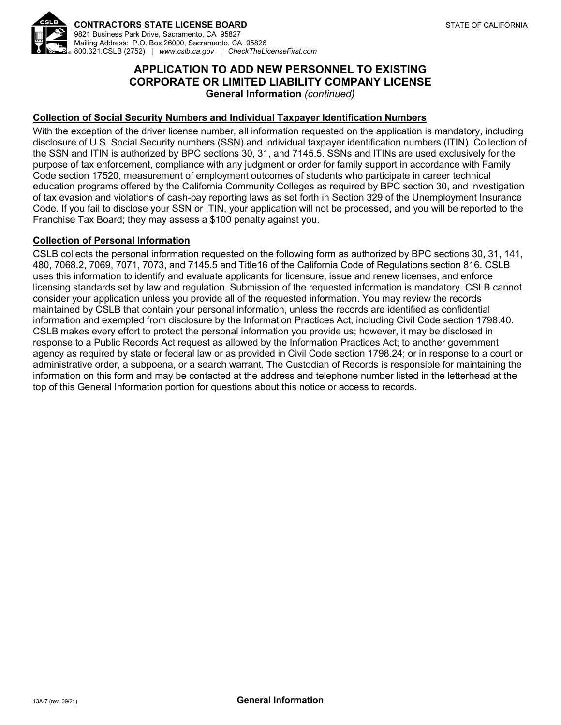

# **APPLICATION TO ADD NEW PERSONNEL TO EXISTING CORPORATE OR LIMITED LIABILITY COMPANY LICENSE General Information** *(continued)*

## **Collection of Social Security Numbers and Individual Taxpayer Identification Numbers**

With the exception of the driver license number, all information requested on the application is mandatory, including disclosure of U.S. Social Security numbers (SSN) and individual taxpayer identification numbers (ITIN). Collection of the SSN and ITIN is authorized by BPC sections 30, 31, and 7145.5. SSNs and ITINs are used exclusively for the purpose of tax enforcement, compliance with any judgment or order for family support in accordance with Family Code section 17520, measurement of employment outcomes of students who participate in career technical education programs offered by the California Community Colleges as required by BPC section 30, and investigation of tax evasion and violations of cash-pay reporting laws as set forth in Section 329 of the Unemployment Insurance Code. If you fail to disclose your SSN or ITIN, your application will not be processed, and you will be reported to the Franchise Tax Board; they may assess a \$100 penalty against you.

#### **Collection of Personal Information**

CSLB collects the personal information requested on the following form as authorized by BPC sections 30, 31, 141, 480, 7068.2, 7069, 7071, 7073, and 7145.5 and Title16 of the California Code of Regulations section 816. CSLB uses this information to identify and evaluate applicants for licensure, issue and renew licenses, and enforce licensing standards set by law and regulation. Submission of the requested information is mandatory. CSLB cannot consider your application unless you provide all of the requested information. You may review the records maintained by CSLB that contain your personal information, unless the records are identified as confidential information and exempted from disclosure by the Information Practices Act, including Civil Code section 1798.40. CSLB makes every effort to protect the personal information you provide us; however, it may be disclosed in response to a Public Records Act request as allowed by the Information Practices Act; to another government agency as required by state or federal law or as provided in Civil Code section 1798.24; or in response to a court or administrative order, a subpoena, or a search warrant. The Custodian of Records is responsible for maintaining the information on this form and may be contacted at the address and telephone number listed in the letterhead at the top of this General Information portion for questions about this notice or access to records.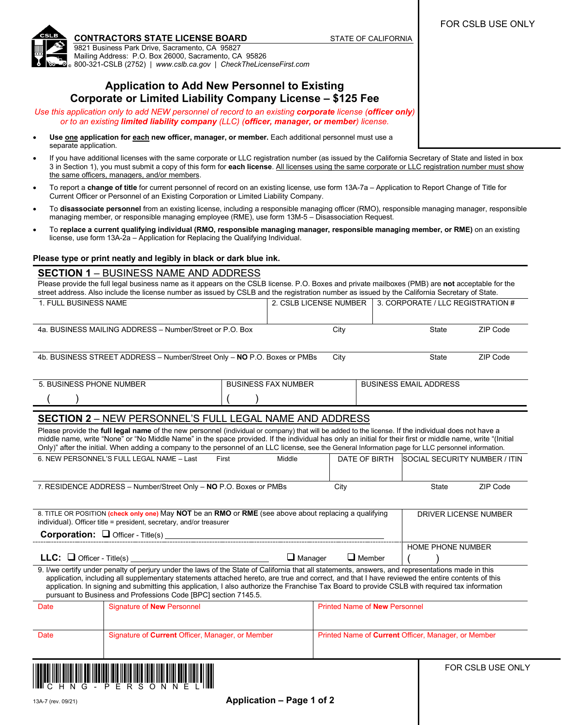FOR CSLB USE ONLY

**CONTRACTORS STATE LICENSE BOARD STATE OF CALIFORNIA** 

9821 Business Park Drive, Sacramento, CA 95827 Mailing Address: P.O. Box 26000, Sacramento, CA 95826 800-321-CSLB (2752) | *www.cslb.ca.gov* | *CheckTheLicenseFirst.com*

## **Application to Add New Personnel to Existing Corporate or Limited Liability Company License – \$125 Fee**

*Use this application only to add NEW personnel of record to an existing corporate license (officer only) or to an existing limited liability company (LLC) (officer, manager, or member) license.*

- **Use one application for each new officer, manager, or member.** Each additional personnel must use a separate application.
- If you have additional licenses with the same corporate or LLC registration number (as issued by the California Secretary of State and listed in box 3 in Section 1), you must submit a copy of this form for **each license**. All licenses using the same corporate or LLC registration number must show the same officers, managers, and/or members.
- To report a **change of title** for current personnel of record on an existing license, use form 13A-7a Application to Report Change of Title for Current Officer or Personnel of an Existing Corporation or Limited Liability Company.
- To **disassociate personnel** from an existing license, including a responsible managing officer (RMO), responsible managing manager, responsible managing member, or responsible managing employee (RME), use form 13M-5 – Disassociation Request.
- To **replace a current qualifying individual (RMO, responsible managing manager, responsible managing member, or RME)** on an existing license, use form 13A-2a – Application for Replacing the Qualifying Individual.

#### **Please type or print neatly and legibly in black or dark blue ink.**

#### **SECTION 1** – BUSINESS NAME AND ADDRESS

Please provide the full legal business name as it appears on the CSLB license. P.O. Boxes and private mailboxes (PMB) are **not** acceptable for the street address. Also include the license number as issued by CSLB and the registration number as issued by the California Secretary of State.

| 1. FULL BUSINESS NAME                                                                                                                                                                                                                                                                                             |                                                                                                                                                                                                                    |                            | 2. CSLB LICENSE NUMBER                              |                                      | 3. CORPORATE / LLC REGISTRATION # |                               |  |  |
|-------------------------------------------------------------------------------------------------------------------------------------------------------------------------------------------------------------------------------------------------------------------------------------------------------------------|--------------------------------------------------------------------------------------------------------------------------------------------------------------------------------------------------------------------|----------------------------|-----------------------------------------------------|--------------------------------------|-----------------------------------|-------------------------------|--|--|
|                                                                                                                                                                                                                                                                                                                   |                                                                                                                                                                                                                    |                            |                                                     |                                      |                                   |                               |  |  |
|                                                                                                                                                                                                                                                                                                                   | 4a. BUSINESS MAILING ADDRESS - Number/Street or P.O. Box                                                                                                                                                           |                            | City                                                |                                      | State                             | ZIP Code                      |  |  |
|                                                                                                                                                                                                                                                                                                                   |                                                                                                                                                                                                                    |                            |                                                     |                                      |                                   |                               |  |  |
|                                                                                                                                                                                                                                                                                                                   | 4b. BUSINESS STREET ADDRESS - Number/Street Only - NO P.O. Boxes or PMBs                                                                                                                                           |                            | City                                                |                                      | State                             | ZIP Code                      |  |  |
|                                                                                                                                                                                                                                                                                                                   |                                                                                                                                                                                                                    |                            |                                                     |                                      |                                   |                               |  |  |
| 5. BUSINESS PHONE NUMBER                                                                                                                                                                                                                                                                                          |                                                                                                                                                                                                                    | <b>BUSINESS FAX NUMBER</b> | <b>BUSINESS EMAIL ADDRESS</b>                       |                                      |                                   |                               |  |  |
|                                                                                                                                                                                                                                                                                                                   |                                                                                                                                                                                                                    |                            |                                                     |                                      |                                   |                               |  |  |
|                                                                                                                                                                                                                                                                                                                   |                                                                                                                                                                                                                    |                            |                                                     |                                      |                                   |                               |  |  |
| <b>SECTION 2 - NEW PERSONNEL'S FULL LEGAL NAME AND ADDRESS</b><br>Please provide the full legal name of the new personnel (individual or company) that will be added to the license. If the individual does not have a                                                                                            |                                                                                                                                                                                                                    |                            |                                                     |                                      |                                   |                               |  |  |
| middle name, write "None" or "No Middle Name" in the space provided. If the individual has only an initial for their first or middle name, write "(Initial<br>Only)" after the initial. When adding a company to the personnel of an LLC license, see the General Information page for LLC personnel information. |                                                                                                                                                                                                                    |                            |                                                     |                                      |                                   |                               |  |  |
|                                                                                                                                                                                                                                                                                                                   | 6. NEW PERSONNEL'S FULL LEGAL NAME - Last<br>First                                                                                                                                                                 | Middle                     |                                                     | DATE OF BIRTH                        |                                   | SOCIAL SECURITY NUMBER / ITIN |  |  |
|                                                                                                                                                                                                                                                                                                                   |                                                                                                                                                                                                                    |                            |                                                     |                                      |                                   |                               |  |  |
|                                                                                                                                                                                                                                                                                                                   |                                                                                                                                                                                                                    |                            |                                                     |                                      |                                   |                               |  |  |
| 7. RESIDENCE ADDRESS - Number/Street Only - NO P.O. Boxes or PMBs                                                                                                                                                                                                                                                 |                                                                                                                                                                                                                    | City                       |                                                     | <b>State</b>                         | ZIP Code                          |                               |  |  |
|                                                                                                                                                                                                                                                                                                                   | 8. TITLE OR POSITION (check only one) May NOT be an RMO or RME (see above about replacing a qualifying                                                                                                             |                            |                                                     |                                      |                                   |                               |  |  |
| individual). Officer title = president, secretary, and/or treasurer                                                                                                                                                                                                                                               |                                                                                                                                                                                                                    | DRIVER LICENSE NUMBER      |                                                     |                                      |                                   |                               |  |  |
|                                                                                                                                                                                                                                                                                                                   |                                                                                                                                                                                                                    |                            |                                                     |                                      |                                   |                               |  |  |
|                                                                                                                                                                                                                                                                                                                   |                                                                                                                                                                                                                    |                            |                                                     | HOME PHONE NUMBER                    |                                   |                               |  |  |
|                                                                                                                                                                                                                                                                                                                   |                                                                                                                                                                                                                    |                            | $\Box$ Manager<br>$\Box$ Member                     |                                      |                                   |                               |  |  |
| 9. I/we certify under penalty of perjury under the laws of the State of California that all statements, answers, and representations made in this<br>application, including all supplementary statements attached hereto, are true and correct, and that I have reviewed the entire contents of this              |                                                                                                                                                                                                                    |                            |                                                     |                                      |                                   |                               |  |  |
|                                                                                                                                                                                                                                                                                                                   | application. In signing and submitting this application, I also authorize the Franchise Tax Board to provide CSLB with required tax information<br>pursuant to Business and Professions Code [BPC] section 7145.5. |                            |                                                     |                                      |                                   |                               |  |  |
| Date                                                                                                                                                                                                                                                                                                              | Signature of <b>New</b> Personnel                                                                                                                                                                                  |                            |                                                     | <b>Printed Name of New Personnel</b> |                                   |                               |  |  |
|                                                                                                                                                                                                                                                                                                                   |                                                                                                                                                                                                                    |                            |                                                     |                                      |                                   |                               |  |  |
| Date                                                                                                                                                                                                                                                                                                              | Signature of Current Officer, Manager, or Member                                                                                                                                                                   |                            | Printed Name of Current Officer, Manager, or Member |                                      |                                   |                               |  |  |
|                                                                                                                                                                                                                                                                                                                   |                                                                                                                                                                                                                    |                            |                                                     |                                      |                                   |                               |  |  |
|                                                                                                                                                                                                                                                                                                                   |                                                                                                                                                                                                                    |                            |                                                     |                                      |                                   | FOR CSLB USE ONLY             |  |  |
|                                                                                                                                                                                                                                                                                                                   |                                                                                                                                                                                                                    |                            |                                                     |                                      |                                   |                               |  |  |
|                                                                                                                                                                                                                                                                                                                   |                                                                                                                                                                                                                    |                            |                                                     |                                      |                                   |                               |  |  |

13A-7 (rev. 09/21) **Application – Page 1 of 2**